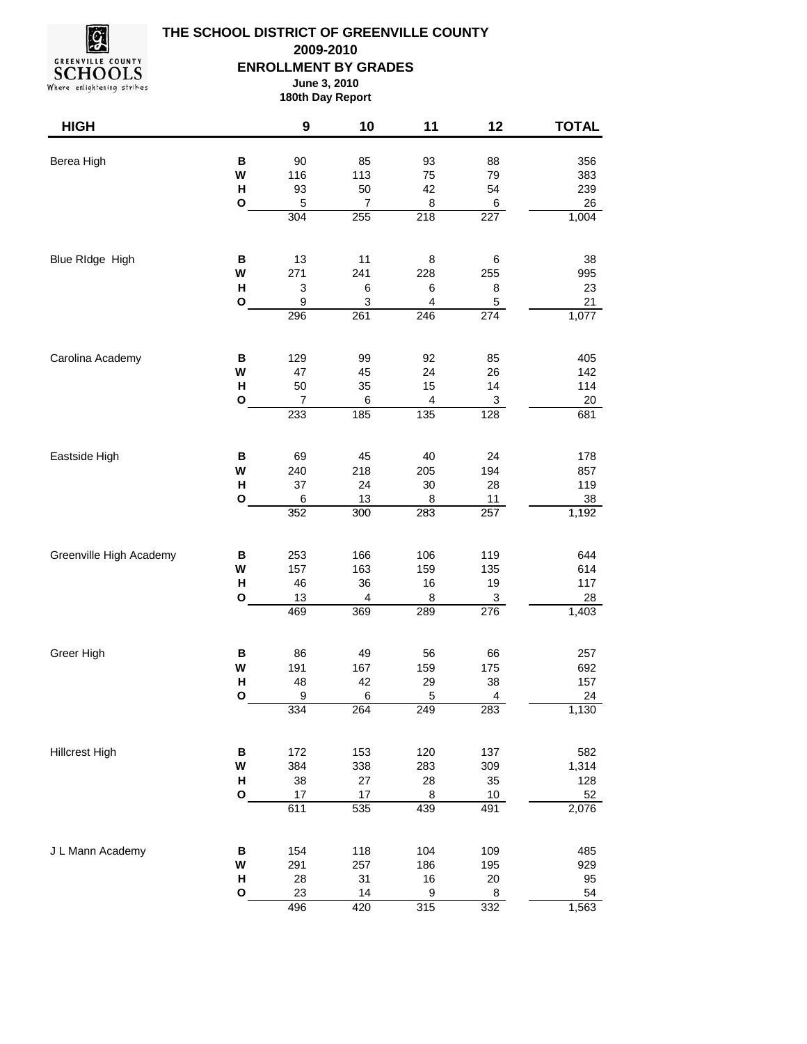

## **THE SCHOOL DISTRICT OF GREENVILLE COUNTY ENROLLMENT BY GRADES June 3, 2010 2009-2010**

Where enlightening strikes

**180th Day Report**

| <b>HIGH</b>             |                   | $\boldsymbol{9}$                      | 10                                 | 11                                  | 12                          | <b>TOTAL</b>       |
|-------------------------|-------------------|---------------------------------------|------------------------------------|-------------------------------------|-----------------------------|--------------------|
| Berea High              | В<br>W            | 90<br>116                             | 85<br>113                          | 93<br>75                            | 88<br>79                    | 356<br>383         |
|                         | н<br>$\mathbf{o}$ | 93<br>5<br>$\overline{304}$           | 50<br>$\overline{7}$<br>255        | 42<br>8<br>$\overline{218}$         | 54<br>6<br>$\overline{227}$ | 239<br>26<br>1,004 |
|                         |                   |                                       |                                    |                                     |                             |                    |
| Blue RIdge High         | В<br>W            | 13<br>271                             | 11<br>241                          | 8<br>228                            | $\,6$<br>255                | 38<br>995          |
|                         | н<br>$\mathbf{o}$ | $\ensuremath{\mathsf{3}}$<br>9<br>296 | $\,6$<br>$\ensuremath{\mathsf{3}}$ | 6<br>$\overline{\mathbf{4}}$<br>246 | 8<br>5<br>274               | 23<br>21           |
|                         |                   |                                       | 261                                |                                     |                             | 1,077              |
| Carolina Academy        | B<br>W            | 129<br>47                             | 99<br>45                           | 92<br>24                            | 85<br>26                    | 405<br>142         |
|                         | н<br>$\mathbf 0$  | 50<br>7                               | 35<br>6                            | 15<br>4                             | 14<br>$\overline{3}$        | 114<br>20          |
|                         |                   | 233                                   | 185                                | 135                                 | 128                         | 681                |
| Eastside High           | В<br>W            | 69<br>240                             | 45<br>218                          | 40<br>205                           | 24<br>194                   | 178<br>857         |
|                         | н<br>$\mathbf{o}$ | 37<br>6                               | 24<br>13                           | 30<br>8                             | 28<br>11                    | 119<br>38          |
|                         |                   | 352                                   | 300                                | 283                                 | 257                         | 1,192              |
| Greenville High Academy | B<br>W            | 253<br>157                            | 166<br>163                         | 106<br>159                          | 119<br>135                  | 644<br>614         |
|                         | н<br>O            | 46<br>13                              | 36<br>4                            | $16$<br>8                           | 19<br>$\overline{3}$        | 117<br>28          |
|                         |                   | 469                                   | 369                                | 289                                 | 276                         | 1,403              |
| Greer High              | B<br>W            | 86<br>191                             | 49<br>167                          | 56<br>159                           | 66<br>175                   | 257<br>692         |
|                         | Н<br>O            | 48<br>9                               | 42<br>$\,6$                        | 29<br>5                             | 38<br>4                     | 157<br>24          |
|                         |                   | 334                                   | 264                                | 249                                 | 283                         | 1,130              |
| <b>Hillcrest High</b>   | $\, {\bf B}$<br>W | 172<br>384                            | 153<br>338                         | 120<br>283                          | 137<br>309                  | 582<br>1,314       |
|                         | н<br>$\mathbf{o}$ | 38<br>$17\,$                          | 27<br>$17\,$                       | 28<br>$\bf8$                        | $35\,$<br>10 <sub>1</sub>   | 128<br>52          |
|                         |                   | 611                                   | 535                                | 439                                 | 491                         | 2,076              |
| J L Mann Academy        | $\, {\bf B}$<br>W | 154<br>291                            | 118<br>257                         | 104<br>186                          | 109<br>195                  | 485<br>929         |
|                         | Н<br>O            | 28<br>23                              | 31<br>14                           | $16$<br>9                           | $20\,$<br>8                 | 95<br>54           |
|                         |                   | 496                                   | 420                                | 315                                 | 332                         | 1,563              |